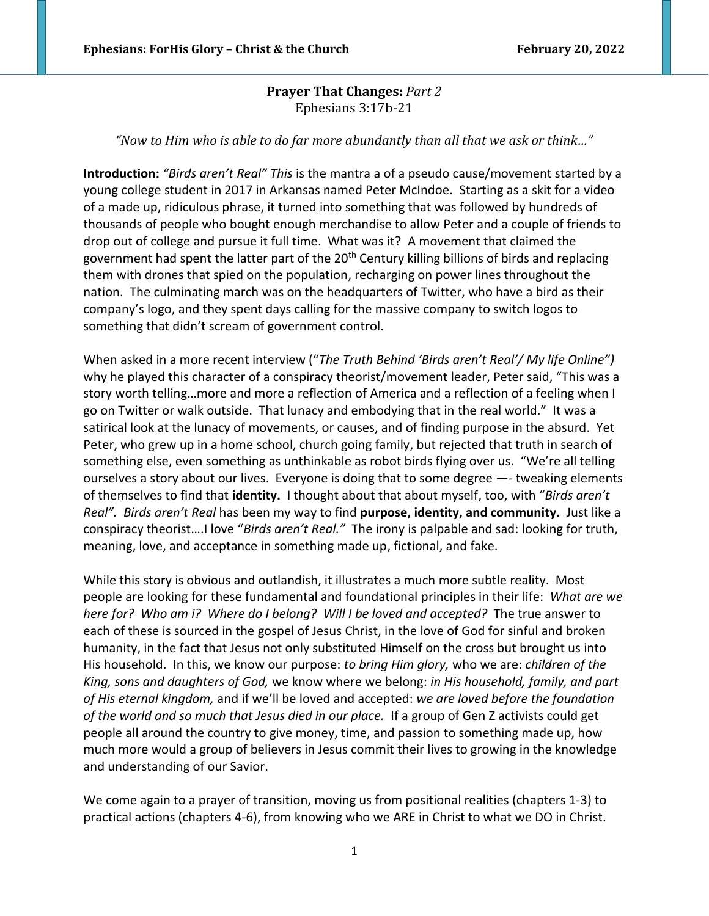## **Prayer That Changes:** *Part 2* Ephesians 3:17b-21

*"Now to Him who is able to do far more abundantly than all that we ask or think…"*

**Introduction:** *"Birds aren't Real" This* is the mantra a of a pseudo cause/movement started by a young college student in 2017 in Arkansas named Peter McIndoe. Starting as a skit for a video of a made up, ridiculous phrase, it turned into something that was followed by hundreds of thousands of people who bought enough merchandise to allow Peter and a couple of friends to drop out of college and pursue it full time. What was it? A movement that claimed the government had spent the latter part of the 20<sup>th</sup> Century killing billions of birds and replacing them with drones that spied on the population, recharging on power lines throughout the nation. The culminating march was on the headquarters of Twitter, who have a bird as their company's logo, and they spent days calling for the massive company to switch logos to something that didn't scream of government control.

When asked in a more recent interview ("*The Truth Behind 'Birds aren't Real'/ My life Online")* why he played this character of a conspiracy theorist/movement leader, Peter said, "This was a story worth telling…more and more a reflection of America and a reflection of a feeling when I go on Twitter or walk outside. That lunacy and embodying that in the real world." It was a satirical look at the lunacy of movements, or causes, and of finding purpose in the absurd. Yet Peter, who grew up in a home school, church going family, but rejected that truth in search of something else, even something as unthinkable as robot birds flying over us. "We're all telling ourselves a story about our lives. Everyone is doing that to some degree —- tweaking elements of themselves to find that **identity.** I thought about that about myself, too, with "*Birds aren't Real". Birds aren't Real* has been my way to find **purpose, identity, and community.** Just like a conspiracy theorist….I love "*Birds aren't Real."* The irony is palpable and sad: looking for truth, meaning, love, and acceptance in something made up, fictional, and fake.

While this story is obvious and outlandish, it illustrates a much more subtle reality. Most people are looking for these fundamental and foundational principles in their life: *What are we here for? Who am i? Where do I belong? Will I be loved and accepted?* The true answer to each of these is sourced in the gospel of Jesus Christ, in the love of God for sinful and broken humanity, in the fact that Jesus not only substituted Himself on the cross but brought us into His household. In this, we know our purpose: *to bring Him glory,* who we are: *children of the King, sons and daughters of God,* we know where we belong: *in His household, family, and part of His eternal kingdom,* and if we'll be loved and accepted: *we are loved before the foundation of the world and so much that Jesus died in our place.* If a group of Gen Z activists could get people all around the country to give money, time, and passion to something made up, how much more would a group of believers in Jesus commit their lives to growing in the knowledge and understanding of our Savior.

We come again to a prayer of transition, moving us from positional realities (chapters 1-3) to practical actions (chapters 4-6), from knowing who we ARE in Christ to what we DO in Christ.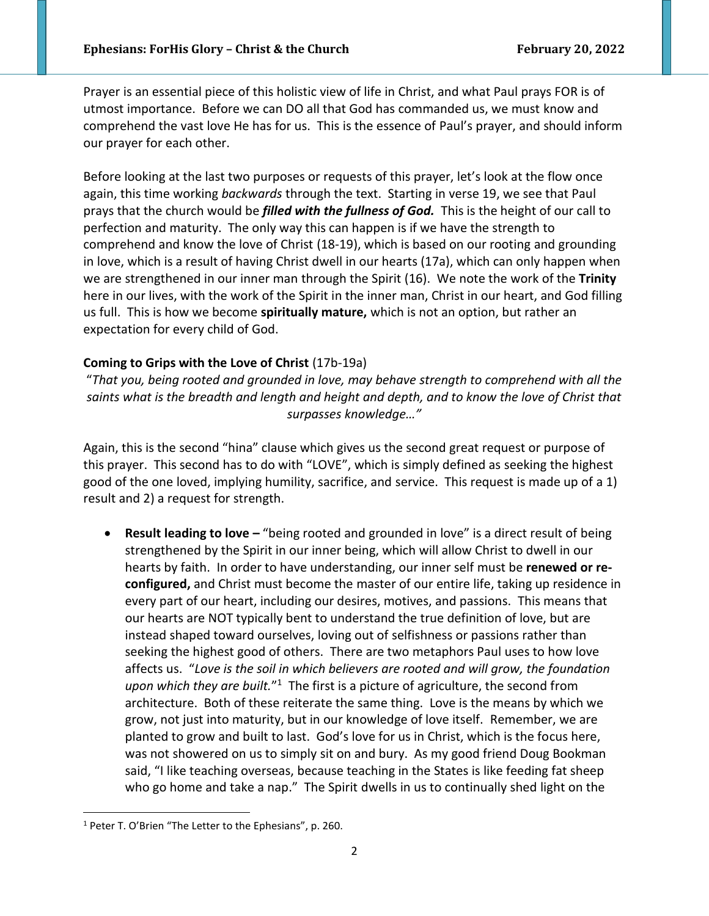Prayer is an essential piece of this holistic view of life in Christ, and what Paul prays FOR is of utmost importance. Before we can DO all that God has commanded us, we must know and comprehend the vast love He has for us. This is the essence of Paul's prayer, and should inform our prayer for each other.

Before looking at the last two purposes or requests of this prayer, let's look at the flow once again, this time working *backwards* through the text. Starting in verse 19, we see that Paul prays that the church would be *filled with the fullness of God.* This is the height of our call to perfection and maturity. The only way this can happen is if we have the strength to comprehend and know the love of Christ (18-19), which is based on our rooting and grounding in love, which is a result of having Christ dwell in our hearts (17a), which can only happen when we are strengthened in our inner man through the Spirit (16). We note the work of the **Trinity**  here in our lives, with the work of the Spirit in the inner man, Christ in our heart, and God filling us full. This is how we become **spiritually mature,** which is not an option, but rather an expectation for every child of God.

## **Coming to Grips with the Love of Christ** (17b-19a)

"*That you, being rooted and grounded in love, may behave strength to comprehend with all the saints what is the breadth and length and height and depth, and to know the love of Christ that surpasses knowledge…"*

Again, this is the second "hina" clause which gives us the second great request or purpose of this prayer. This second has to do with "LOVE", which is simply defined as seeking the highest good of the one loved, implying humility, sacrifice, and service. This request is made up of a 1) result and 2) a request for strength.

**Result leading to love – "being rooted and grounded in love" is a direct result of being** strengthened by the Spirit in our inner being, which will allow Christ to dwell in our hearts by faith. In order to have understanding, our inner self must be **renewed or reconfigured,** and Christ must become the master of our entire life, taking up residence in every part of our heart, including our desires, motives, and passions. This means that our hearts are NOT typically bent to understand the true definition of love, but are instead shaped toward ourselves, loving out of selfishness or passions rather than seeking the highest good of others. There are two metaphors Paul uses to how love affects us. "*Love is the soil in which believers are rooted and will grow, the foundation*  upon which they are built."<sup>1</sup> The first is a picture of agriculture, the second from architecture. Both of these reiterate the same thing. Love is the means by which we grow, not just into maturity, but in our knowledge of love itself. Remember, we are planted to grow and built to last. God's love for us in Christ, which is the focus here, was not showered on us to simply sit on and bury. As my good friend Doug Bookman said, "I like teaching overseas, because teaching in the States is like feeding fat sheep who go home and take a nap." The Spirit dwells in us to continually shed light on the

<sup>1</sup> Peter T. O'Brien "The Letter to the Ephesians", p. 260.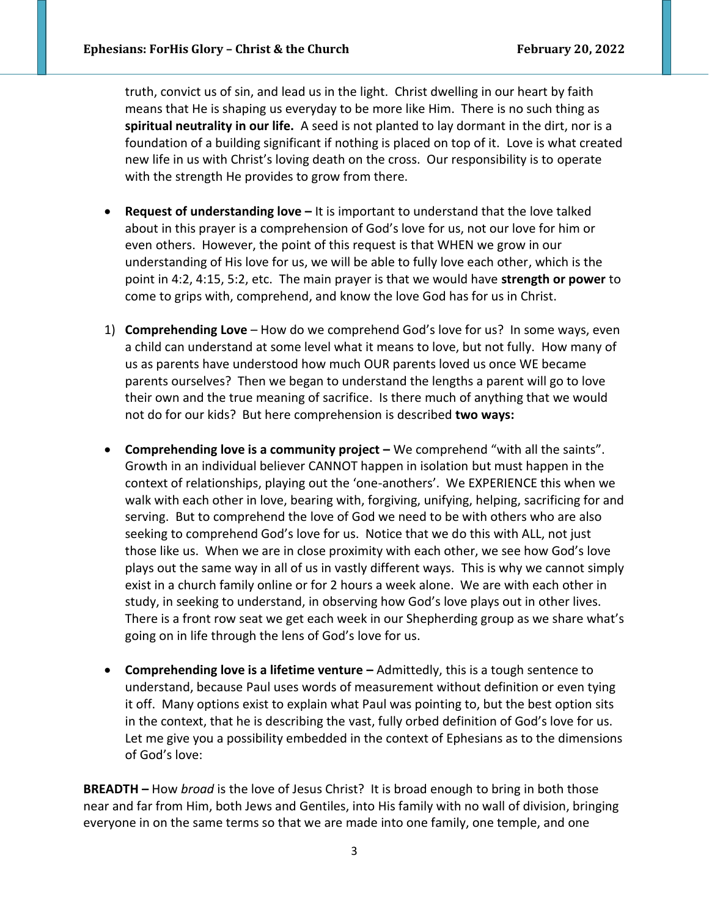truth, convict us of sin, and lead us in the light. Christ dwelling in our heart by faith means that He is shaping us everyday to be more like Him. There is no such thing as **spiritual neutrality in our life.** A seed is not planted to lay dormant in the dirt, nor is a foundation of a building significant if nothing is placed on top of it. Love is what created new life in us with Christ's loving death on the cross. Our responsibility is to operate with the strength He provides to grow from there.

- **Request of understanding love –** It is important to understand that the love talked about in this prayer is a comprehension of God's love for us, not our love for him or even others. However, the point of this request is that WHEN we grow in our understanding of His love for us, we will be able to fully love each other, which is the point in 4:2, 4:15, 5:2, etc. The main prayer is that we would have **strength or power** to come to grips with, comprehend, and know the love God has for us in Christ.
- 1) **Comprehending Love**  How do we comprehend God's love for us? In some ways, even a child can understand at some level what it means to love, but not fully. How many of us as parents have understood how much OUR parents loved us once WE became parents ourselves? Then we began to understand the lengths a parent will go to love their own and the true meaning of sacrifice. Is there much of anything that we would not do for our kids? But here comprehension is described **two ways:**
- **Comprehending love is a community project –** We comprehend "with all the saints". Growth in an individual believer CANNOT happen in isolation but must happen in the context of relationships, playing out the 'one-anothers'. We EXPERIENCE this when we walk with each other in love, bearing with, forgiving, unifying, helping, sacrificing for and serving. But to comprehend the love of God we need to be with others who are also seeking to comprehend God's love for us. Notice that we do this with ALL, not just those like us. When we are in close proximity with each other, we see how God's love plays out the same way in all of us in vastly different ways. This is why we cannot simply exist in a church family online or for 2 hours a week alone. We are with each other in study, in seeking to understand, in observing how God's love plays out in other lives. There is a front row seat we get each week in our Shepherding group as we share what's going on in life through the lens of God's love for us.
- **Comprehending love is a lifetime venture –** Admittedly, this is a tough sentence to understand, because Paul uses words of measurement without definition or even tying it off. Many options exist to explain what Paul was pointing to, but the best option sits in the context, that he is describing the vast, fully orbed definition of God's love for us. Let me give you a possibility embedded in the context of Ephesians as to the dimensions of God's love:

**BREADTH –** How *broad* is the love of Jesus Christ? It is broad enough to bring in both those near and far from Him, both Jews and Gentiles, into His family with no wall of division, bringing everyone in on the same terms so that we are made into one family, one temple, and one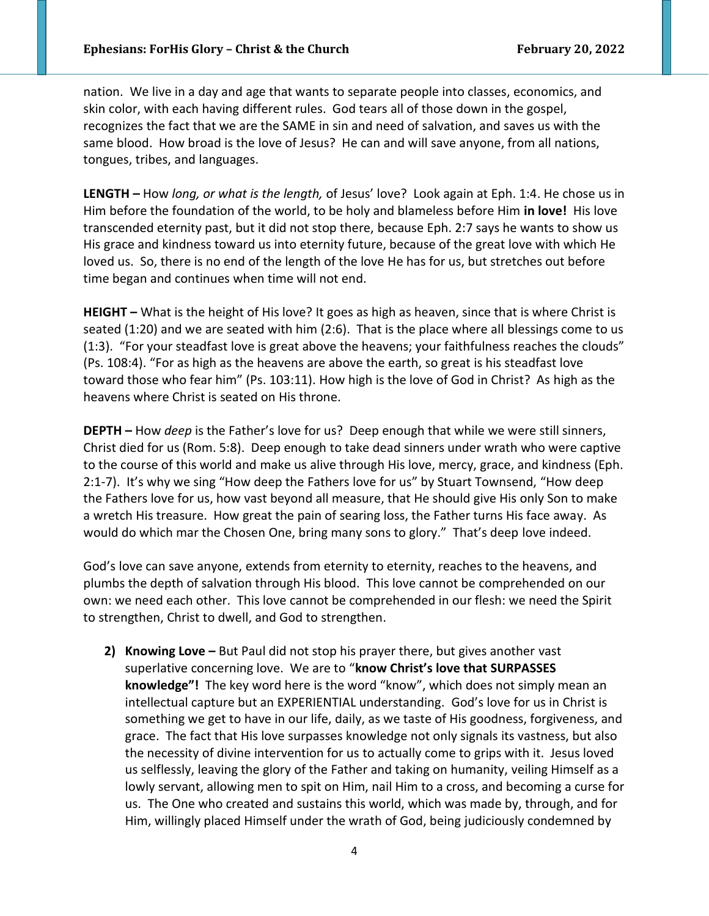nation. We live in a day and age that wants to separate people into classes, economics, and skin color, with each having different rules. God tears all of those down in the gospel, recognizes the fact that we are the SAME in sin and need of salvation, and saves us with the same blood. How broad is the love of Jesus? He can and will save anyone, from all nations, tongues, tribes, and languages.

**LENGTH –** How *long, or what is the length,* of Jesus' love? Look again at Eph. 1:4. He chose us in Him before the foundation of the world, to be holy and blameless before Him **in love!** His love transcended eternity past, but it did not stop there, because Eph. 2:7 says he wants to show us His grace and kindness toward us into eternity future, because of the great love with which He loved us. So, there is no end of the length of the love He has for us, but stretches out before time began and continues when time will not end.

**HEIGHT –** What is the height of His love? It goes as high as heaven, since that is where Christ is seated (1:20) and we are seated with him (2:6). That is the place where all blessings come to us (1:3). "For your steadfast love is great above the heavens; your faithfulness reaches the clouds" (Ps. 108:4). "For as high as the heavens are above the earth, so great is his steadfast love toward those who fear him" (Ps. 103:11). How high is the love of God in Christ? As high as the heavens where Christ is seated on His throne.

**DEPTH –** How *deep* is the Father's love for us? Deep enough that while we were still sinners, Christ died for us (Rom. 5:8). Deep enough to take dead sinners under wrath who were captive to the course of this world and make us alive through His love, mercy, grace, and kindness (Eph. 2:1-7). It's why we sing "How deep the Fathers love for us" by Stuart Townsend, "How deep the Fathers love for us, how vast beyond all measure, that He should give His only Son to make a wretch His treasure. How great the pain of searing loss, the Father turns His face away. As would do which mar the Chosen One, bring many sons to glory." That's deep love indeed.

God's love can save anyone, extends from eternity to eternity, reaches to the heavens, and plumbs the depth of salvation through His blood. This love cannot be comprehended on our own: we need each other. This love cannot be comprehended in our flesh: we need the Spirit to strengthen, Christ to dwell, and God to strengthen.

**2) Knowing Love –** But Paul did not stop his prayer there, but gives another vast superlative concerning love. We are to "**know Christ's love that SURPASSES knowledge"!** The key word here is the word "know", which does not simply mean an intellectual capture but an EXPERIENTIAL understanding. God's love for us in Christ is something we get to have in our life, daily, as we taste of His goodness, forgiveness, and grace. The fact that His love surpasses knowledge not only signals its vastness, but also the necessity of divine intervention for us to actually come to grips with it. Jesus loved us selflessly, leaving the glory of the Father and taking on humanity, veiling Himself as a lowly servant, allowing men to spit on Him, nail Him to a cross, and becoming a curse for us. The One who created and sustains this world, which was made by, through, and for Him, willingly placed Himself under the wrath of God, being judiciously condemned by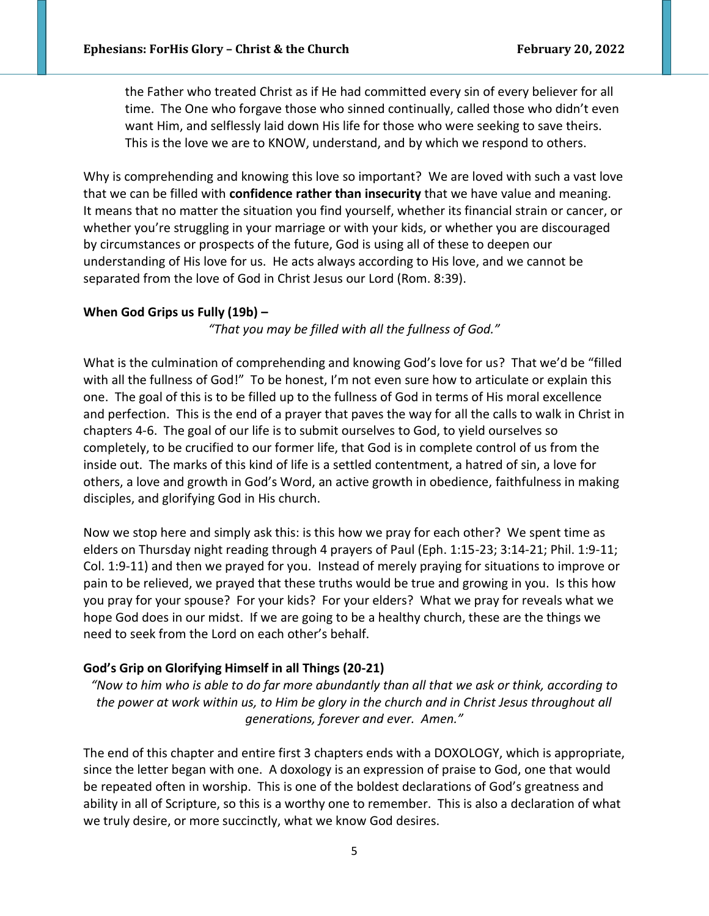the Father who treated Christ as if He had committed every sin of every believer for all time. The One who forgave those who sinned continually, called those who didn't even want Him, and selflessly laid down His life for those who were seeking to save theirs. This is the love we are to KNOW, understand, and by which we respond to others.

Why is comprehending and knowing this love so important? We are loved with such a vast love that we can be filled with **confidence rather than insecurity** that we have value and meaning. It means that no matter the situation you find yourself, whether its financial strain or cancer, or whether you're struggling in your marriage or with your kids, or whether you are discouraged by circumstances or prospects of the future, God is using all of these to deepen our understanding of His love for us. He acts always according to His love, and we cannot be separated from the love of God in Christ Jesus our Lord (Rom. 8:39).

## **When God Grips us Fully (19b) –**

*"That you may be filled with all the fullness of God."* 

What is the culmination of comprehending and knowing God's love for us? That we'd be "filled with all the fullness of God!" To be honest, I'm not even sure how to articulate or explain this one. The goal of this is to be filled up to the fullness of God in terms of His moral excellence and perfection. This is the end of a prayer that paves the way for all the calls to walk in Christ in chapters 4-6. The goal of our life is to submit ourselves to God, to yield ourselves so completely, to be crucified to our former life, that God is in complete control of us from the inside out. The marks of this kind of life is a settled contentment, a hatred of sin, a love for others, a love and growth in God's Word, an active growth in obedience, faithfulness in making disciples, and glorifying God in His church.

Now we stop here and simply ask this: is this how we pray for each other? We spent time as elders on Thursday night reading through 4 prayers of Paul (Eph. 1:15-23; 3:14-21; Phil. 1:9-11; Col. 1:9-11) and then we prayed for you. Instead of merely praying for situations to improve or pain to be relieved, we prayed that these truths would be true and growing in you. Is this how you pray for your spouse? For your kids? For your elders? What we pray for reveals what we hope God does in our midst. If we are going to be a healthy church, these are the things we need to seek from the Lord on each other's behalf.

## **God's Grip on Glorifying Himself in all Things (20-21)**

*"Now to him who is able to do far more abundantly than all that we ask or think, according to the power at work within us, to Him be glory in the church and in Christ Jesus throughout all generations, forever and ever. Amen."*

The end of this chapter and entire first 3 chapters ends with a DOXOLOGY, which is appropriate, since the letter began with one. A doxology is an expression of praise to God, one that would be repeated often in worship. This is one of the boldest declarations of God's greatness and ability in all of Scripture, so this is a worthy one to remember. This is also a declaration of what we truly desire, or more succinctly, what we know God desires.